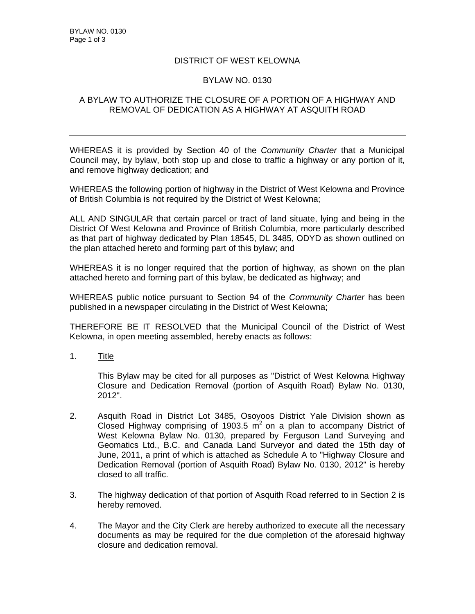## DISTRICT OF WEST KELOWNA

## BYLAW NO. 0130

## A BYLAW TO AUTHORIZE THE CLOSURE OF A PORTION OF A HIGHWAY AND REMOVAL OF DEDICATION AS A HIGHWAY AT ASQUITH ROAD

WHEREAS it is provided by Section 40 of the *Community Charter* that a Municipal Council may, by bylaw, both stop up and close to traffic a highway or any portion of it, and remove highway dedication; and

WHEREAS the following portion of highway in the District of West Kelowna and Province of British Columbia is not required by the District of West Kelowna;

ALL AND SINGULAR that certain parcel or tract of land situate, lying and being in the District Of West Kelowna and Province of British Columbia, more particularly described as that part of highway dedicated by Plan 18545, DL 3485, ODYD as shown outlined on the plan attached hereto and forming part of this bylaw; and

WHEREAS it is no longer required that the portion of highway, as shown on the plan attached hereto and forming part of this bylaw, be dedicated as highway; and

WHEREAS public notice pursuant to Section 94 of the *Community Charter* has been published in a newspaper circulating in the District of West Kelowna;

THEREFORE BE IT RESOLVED that the Municipal Council of the District of West Kelowna, in open meeting assembled, hereby enacts as follows:

1. Title

This Bylaw may be cited for all purposes as "District of West Kelowna Highway Closure and Dedication Removal (portion of Asquith Road) Bylaw No. 0130, 2012".

- 2. Asquith Road in District Lot 3485, Osoyoos District Yale Division shown as Closed Highway comprising of 1903.5  $m^2$  on a plan to accompany District of West Kelowna Bylaw No. 0130, prepared by Ferguson Land Surveying and Geomatics Ltd., B.C. and Canada Land Surveyor and dated the 15th day of June, 2011, a print of which is attached as Schedule A to "Highway Closure and Dedication Removal (portion of Asquith Road) Bylaw No. 0130, 2012" is hereby closed to all traffic.
- 3. The highway dedication of that portion of Asquith Road referred to in Section 2 is hereby removed.
- 4. The Mayor and the City Clerk are hereby authorized to execute all the necessary documents as may be required for the due completion of the aforesaid highway closure and dedication removal.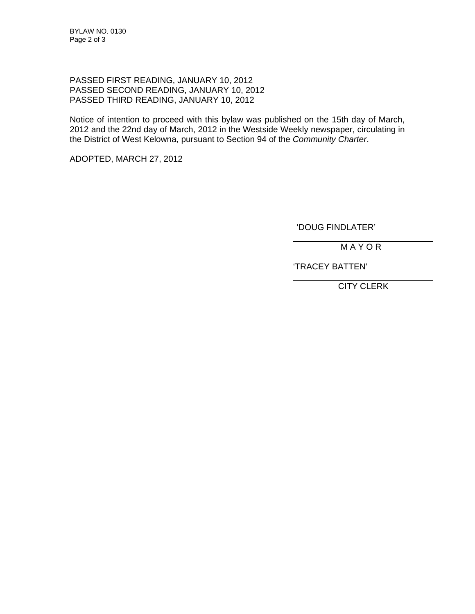PASSED FIRST READING, JANUARY 10, 2012 PASSED SECOND READING, JANUARY 10, 2012 PASSED THIRD READING, JANUARY 10, 2012

Notice of intention to proceed with this bylaw was published on the 15th day of March, 2012 and the 22nd day of March, 2012 in the Westside Weekly newspaper, circulating in the District of West Kelowna, pursuant to Section 94 of the *Community Charter*.

ADOPTED, MARCH 27, 2012

'DOUG FINDLATER'

M A Y O R

'TRACEY BATTEN'

CITY CLERK